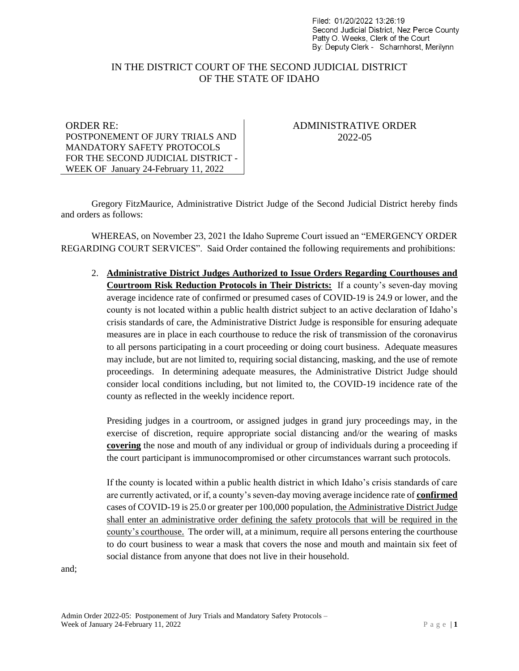Filed: 01/20/2022 13:26:19 Second Judicial District. Nez Perce County Patty O. Weeks, Clerk of the Court By: Deputy Clerk - Scharnhorst, Merilynn

## IN THE DISTRICT COURT OF THE SECOND JUDICIAL DISTRICT OF THE STATE OF IDAHO

ORDER RE: POSTPONEMENT OF JURY TRIALS AND MANDATORY SAFETY PROTOCOLS FOR THE SECOND JUDICIAL DISTRICT - WEEK OF January 24-February 11, 2022

## ADMINISTRATIVE ORDER 2022-05

Gregory FitzMaurice, Administrative District Judge of the Second Judicial District hereby finds and orders as follows:

WHEREAS, on November 23, 2021 the Idaho Supreme Court issued an "EMERGENCY ORDER REGARDING COURT SERVICES". Said Order contained the following requirements and prohibitions:

2. **Administrative District Judges Authorized to Issue Orders Regarding Courthouses and Courtroom Risk Reduction Protocols in Their Districts:** If a county's seven-day moving average incidence rate of confirmed or presumed cases of COVID-19 is 24.9 or lower, and the county is not located within a public health district subject to an active declaration of Idaho's crisis standards of care, the Administrative District Judge is responsible for ensuring adequate measures are in place in each courthouse to reduce the risk of transmission of the coronavirus to all persons participating in a court proceeding or doing court business. Adequate measures may include, but are not limited to, requiring social distancing, masking, and the use of remote proceedings. In determining adequate measures, the Administrative District Judge should consider local conditions including, but not limited to, the COVID-19 incidence rate of the county as reflected in the weekly incidence report.

Presiding judges in a courtroom, or assigned judges in grand jury proceedings may, in the exercise of discretion, require appropriate social distancing and/or the wearing of masks **covering** the nose and mouth of any individual or group of individuals during a proceeding if the court participant is immunocompromised or other circumstances warrant such protocols.

If the county is located within a public health district in which Idaho's crisis standards of care are currently activated, or if, a county's seven-day moving average incidence rate of **confirmed** cases of COVID-19 is 25.0 or greater per 100,000 population, the Administrative District Judge shall enter an administrative order defining the safety protocols that will be required in the county's courthouse. The order will, at a minimum, require all persons entering the courthouse to do court business to wear a mask that covers the nose and mouth and maintain six feet of social distance from anyone that does not live in their household.

and;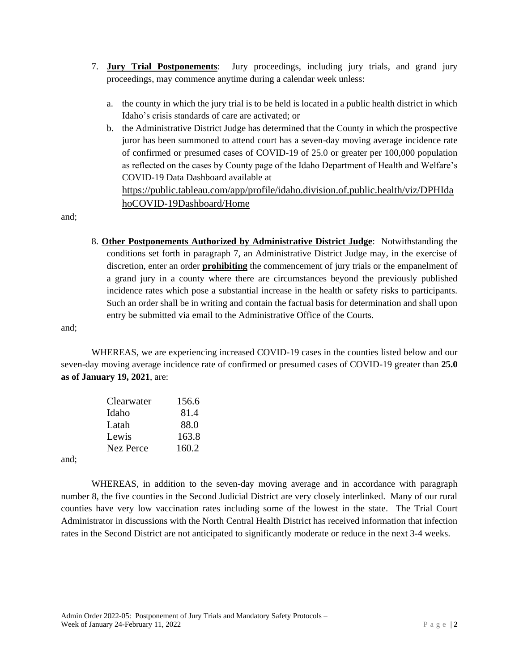- 7. **Jury Trial Postponements**: Jury proceedings, including jury trials, and grand jury proceedings, may commence anytime during a calendar week unless:
	- a. the county in which the jury trial is to be held is located in a public health district in which Idaho's crisis standards of care are activated; or
	- b. the Administrative District Judge has determined that the County in which the prospective juror has been summoned to attend court has a seven-day moving average incidence rate of confirmed or presumed cases of COVID-19 of 25.0 or greater per 100,000 population as reflected on the cases by County page of the Idaho Department of Health and Welfare's COVID-19 Data Dashboard available at

[https://public.tableau.com/app/profile/idaho.division.of.public.health/viz/DPHIda](https://public.tableau.com/app/profile/idaho.division.of.public.health/viz/DPHIdahoCOVID-19Dashboard/Home) [hoCOVID-19Dashboard/Home](https://public.tableau.com/app/profile/idaho.division.of.public.health/viz/DPHIdahoCOVID-19Dashboard/Home)

and;

8. **Other Postponements Authorized by Administrative District Judge**: Notwithstanding the conditions set forth in paragraph 7, an Administrative District Judge may, in the exercise of discretion, enter an order **prohibiting** the commencement of jury trials or the empanelment of a grand jury in a county where there are circumstances beyond the previously published incidence rates which pose a substantial increase in the health or safety risks to participants. Such an order shall be in writing and contain the factual basis for determination and shall upon entry be submitted via email to the Administrative Office of the Courts.

and;

WHEREAS, we are experiencing increased COVID-19 cases in the counties listed below and our seven-day moving average incidence rate of confirmed or presumed cases of COVID-19 greater than **25.0 as of January 19, 2021**, are:

| Clearwater | 156.6 |
|------------|-------|
| Idaho      | 81.4  |
| Latah      | 88.0  |
| Lewis      | 163.8 |
| Nez Perce  | 160.2 |
|            |       |

and;

WHEREAS, in addition to the seven-day moving average and in accordance with paragraph number 8, the five counties in the Second Judicial District are very closely interlinked. Many of our rural counties have very low vaccination rates including some of the lowest in the state. The Trial Court Administrator in discussions with the North Central Health District has received information that infection rates in the Second District are not anticipated to significantly moderate or reduce in the next 3-4 weeks.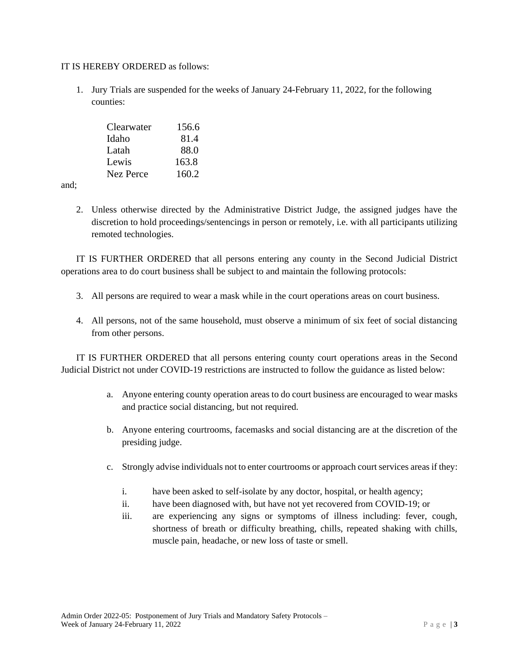## IT IS HEREBY ORDERED as follows:

1. Jury Trials are suspended for the weeks of January 24-February 11, 2022, for the following counties:

| Clearwater | 156.6 |
|------------|-------|
| Idaho      | 81.4  |
| Latah      | 88.0  |
| Lewis      | 163.8 |
| Nez Perce  | 160.2 |

and;

2. Unless otherwise directed by the Administrative District Judge, the assigned judges have the discretion to hold proceedings/sentencings in person or remotely, i.e. with all participants utilizing remoted technologies.

IT IS FURTHER ORDERED that all persons entering any county in the Second Judicial District operations area to do court business shall be subject to and maintain the following protocols:

- 3. All persons are required to wear a mask while in the court operations areas on court business.
- 4. All persons, not of the same household, must observe a minimum of six feet of social distancing from other persons.

IT IS FURTHER ORDERED that all persons entering county court operations areas in the Second Judicial District not under COVID-19 restrictions are instructed to follow the guidance as listed below:

- a. Anyone entering county operation areas to do court business are encouraged to wear masks and practice social distancing, but not required.
- b. Anyone entering courtrooms, facemasks and social distancing are at the discretion of the presiding judge.
- c. Strongly advise individuals not to enter courtrooms or approach court services areas if they:
	- i. have been asked to self-isolate by any doctor, hospital, or health agency;
	- ii. have been diagnosed with, but have not yet recovered from COVID-19; or
	- iii. are experiencing any signs or symptoms of illness including: fever, cough, shortness of breath or difficulty breathing, chills, repeated shaking with chills, muscle pain, headache, or new loss of taste or smell.